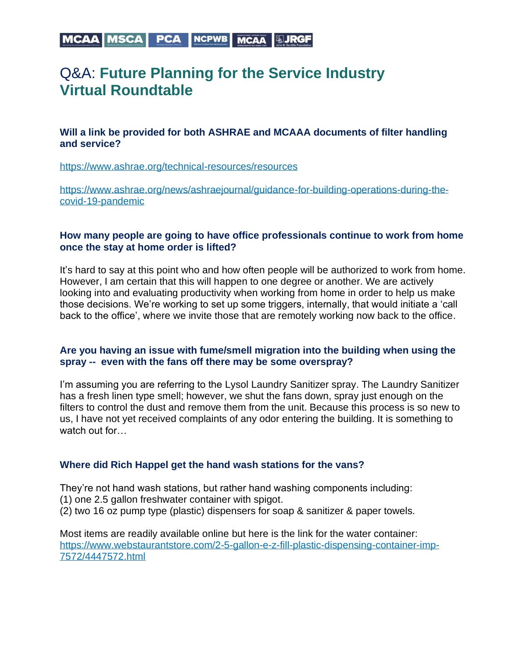# MCAA MSCA | PCA | NCPWB | MCAA | HJRGF

# Q&A: **Future Planning for the Service Industry Virtual Roundtable**

# **Will a link be provided for both ASHRAE and MCAAA documents of filter handling and service?**

<https://www.ashrae.org/technical-resources/resources>

[https://www.ashrae.org/news/ashraejournal/guidance-for-building-operations-during-the](https://www.ashrae.org/news/ashraejournal/guidance-for-building-operations-during-the-covid-19-pandemic)[covid-19-pandemic](https://www.ashrae.org/news/ashraejournal/guidance-for-building-operations-during-the-covid-19-pandemic)

## **How many people are going to have office professionals continue to work from home once the stay at home order is lifted?**

It's hard to say at this point who and how often people will be authorized to work from home. However, I am certain that this will happen to one degree or another. We are actively looking into and evaluating productivity when working from home in order to help us make those decisions. We're working to set up some triggers, internally, that would initiate a 'call back to the office', where we invite those that are remotely working now back to the office.

#### **Are you having an issue with fume/smell migration into the building when using the spray -- even with the fans off there may be some overspray?**

I'm assuming you are referring to the Lysol Laundry Sanitizer spray. The Laundry Sanitizer has a fresh linen type smell; however, we shut the fans down, spray just enough on the filters to control the dust and remove them from the unit. Because this process is so new to us, I have not yet received complaints of any odor entering the building. It is something to watch out for…

# **Where did Rich Happel get the hand wash stations for the vans?**

They're not hand wash stations, but rather hand washing components including:

- (1) one 2.5 gallon freshwater container with spigot.
- (2) two 16 oz pump type (plastic) dispensers for soap & sanitizer & paper towels.

Most items are readily available online but here is the link for the water container: [https://www.webstaurantstore.com/2-5-gallon-e-z-fill-plastic-dispensing-container-imp-](https://www.webstaurantstore.com/2-5-gallon-e-z-fill-plastic-dispensing-container-imp-7572/4447572.html)[7572/4447572.html](https://www.webstaurantstore.com/2-5-gallon-e-z-fill-plastic-dispensing-container-imp-7572/4447572.html)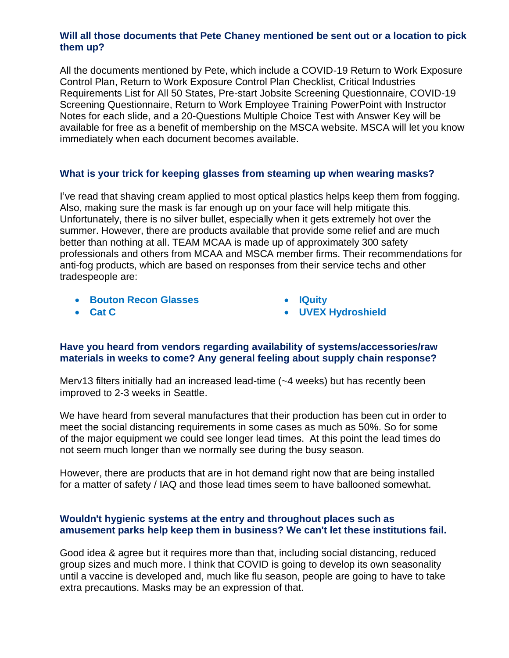# **Will all those documents that Pete Chaney mentioned be sent out or a location to pick them up?**

All the documents mentioned by Pete, which include a COVID-19 Return to Work Exposure Control Plan, Return to Work Exposure Control Plan Checklist, Critical Industries Requirements List for All 50 States, Pre-start Jobsite Screening Questionnaire, COVID-19 Screening Questionnaire, Return to Work Employee Training PowerPoint with Instructor Notes for each slide, and a 20-Questions Multiple Choice Test with Answer Key will be available for free as a benefit of membership on the MSCA website. MSCA will let you know immediately when each document becomes available.

# **What is your trick for keeping glasses from steaming up when wearing masks?**

I've read that shaving cream applied to most optical plastics helps keep them from fogging. Also, making sure the mask is far enough up on your face will help mitigate this. Unfortunately, there is no silver bullet, especially when it gets extremely hot over the summer. However, there are products available that provide some relief and are much better than nothing at all. TEAM MCAA is made up of approximately 300 safety professionals and others from MCAA and MSCA member firms. Their recommendations for anti-fog products, which are based on responses from their service techs and other tradespeople are:

• **[Bouton Recon Glasses](https://www.google.com/search?q=Bouton+Recon+home&sxsrf=ALeKk02nTJw89Qso9VBpnBuqWxkJFoodJw:1588765518487&source=univ&tbm=shop&tbo=u&sa=X&ved=2ahUKEwiRifHilJ_pAhXvlXIEHZT7AJMQsxh6BAgLECw&biw=1920&bih=937)**

• **[IQuity](https://www.mcaa.org/wp-content/uploads/2020/05/IQuity-antifog.pdf)**

• **[Cat C](https://www.google.com/search?q=cat+crap&tbm=isch&source=iu&ictx=1&fir=KxbMCrbeHb9NfM%253A%252CoCnGksMqAAeklM%252C_&vet=1&usg=AI4_-kT88TFsa6pIw5P9myZtmxM9dMLCEA&sa=X&ved=2ahUKEwiNoe7h_5rpAhXQGDQIHZxnAVkQ_h0wAnoECAsQBg#imgrc=KxbMCrbeHb9NfM)**

• **[UVEX Hydroshield](https://www.google.com/search?sxsrf=ALeKk02nTJw89Qso9VBpnBuqWxkJFoodJw%3A1588765518487&ei=TqOyXpGqHe-rytMPlPeDmAk&q=UVEX+Hydroshield&oq=UVEX+Hydroshield&gs_lcp=CgZwc3ktYWIQAzICCAAyAggAMgcIABAUEIcCMgYIABAWEB4yBggAEBYQHjIGCAAQFhAeMgYIABAWEB4yBggAEBYQHjIGCAAQFhAeMgYIABAWEB46BAgjECc6BwgjEOoCECc6BQgAEJECOgUIABCDAToECAAQQzoHCAAQgwEQQzoICAAQgwEQkQI6CAgAEBYQChAeUM8bWOtiYM9saANwAHgAgAF-iAHcCpIBBDE3LjKYAQCgAQGqAQdnd3Mtd2l6sAEK&sclient=psy-ab&ved=0ahUKEwiRifHilJ_pAhXvlXIEHZT7AJMQ4dUDCAw&uact=5)**

# **Have you heard from vendors regarding availability of systems/accessories/raw materials in weeks to come? Any general feeling about supply chain response?**

Merv13 filters initially had an increased lead-time (~4 weeks) but has recently been improved to 2-3 weeks in Seattle.

We have heard from several manufactures that their production has been cut in order to meet the social distancing requirements in some cases as much as 50%. So for some of the major equipment we could see longer lead times. At this point the lead times do not seem much longer than we normally see during the busy season.

However, there are products that are in hot demand right now that are being installed for a matter of safety / IAQ and those lead times seem to have ballooned somewhat.

# **Wouldn't hygienic systems at the entry and throughout places such as amusement parks help keep them in business? We can't let these institutions fail.**

Good idea & agree but it requires more than that, including social distancing, reduced group sizes and much more. I think that COVID is going to develop its own seasonality until a vaccine is developed and, much like flu season, people are going to have to take extra precautions. Masks may be an expression of that.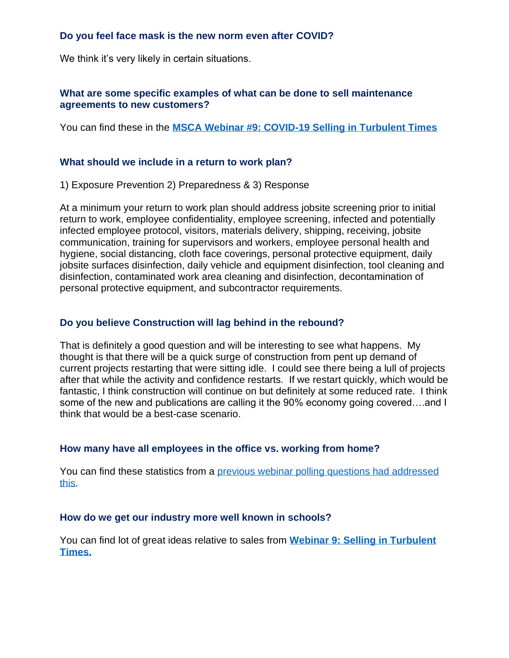# **Do you feel face mask is the new norm even after COVID?**

We think it's very likely in certain situations.

## **What are some specific examples of what can be done to sell maintenance agreements to new customers?**

You can find these in the **[MSCA Webinar #9: COVID-19 Selling in Turbulent Times](https://www.mcaa.org/news/webinar-9-covid-19-selling-in-turbulent-times-jim-bartolotta-dave-bavisotto-jaimi-lomas-and-wayne-turchetta/)**

#### **What should we include in a return to work plan?**

1) Exposure Prevention 2) Preparedness & 3) Response

At a minimum your return to work plan should address jobsite screening prior to initial return to work, employee confidentiality, employee screening, infected and potentially infected employee protocol, visitors, materials delivery, shipping, receiving, jobsite communication, training for supervisors and workers, employee personal health and hygiene, social distancing, cloth face coverings, personal protective equipment, daily jobsite surfaces disinfection, daily vehicle and equipment disinfection, tool cleaning and disinfection, contaminated work area cleaning and disinfection, decontamination of personal protective equipment, and subcontractor requirements.

#### **Do you believe Construction will lag behind in the rebound?**

That is definitely a good question and will be interesting to see what happens. My thought is that there will be a quick surge of construction from pent up demand of current projects restarting that were sitting idle. I could see there being a lull of projects after that while the activity and confidence restarts. If we restart quickly, which would be fantastic, I think construction will continue on but definitely at some reduced rate. I think some of the new and publications are calling it the 90% economy going covered….and I think that would be a best-case scenario.

#### **How many have all employees in the office vs. working from home?**

You can find these statistics from a [previous webinar polling questions had addressed](https://www.mcaa.org/wp-content/uploads/2020/04/Selling-Turbulent-Times-POLL-RESULTS.pdf) [this.](https://www.mcaa.org/wp-content/uploads/2020/04/Selling-Turbulent-Times-POLL-RESULTS.pdf)

#### **How do we get our industry more well known in schools?**

You can find lot of great ideas relative to sales from **[Webinar 9: Selling in Turbulent](https://www.mcaa.org/news/webinar-9-covid-19-selling-in-turbulent-times-jim-bartolotta-dave-bavisotto-jaimi-lomas-and-wayne-turchetta/)  [Times.](https://www.mcaa.org/news/webinar-9-covid-19-selling-in-turbulent-times-jim-bartolotta-dave-bavisotto-jaimi-lomas-and-wayne-turchetta/)**